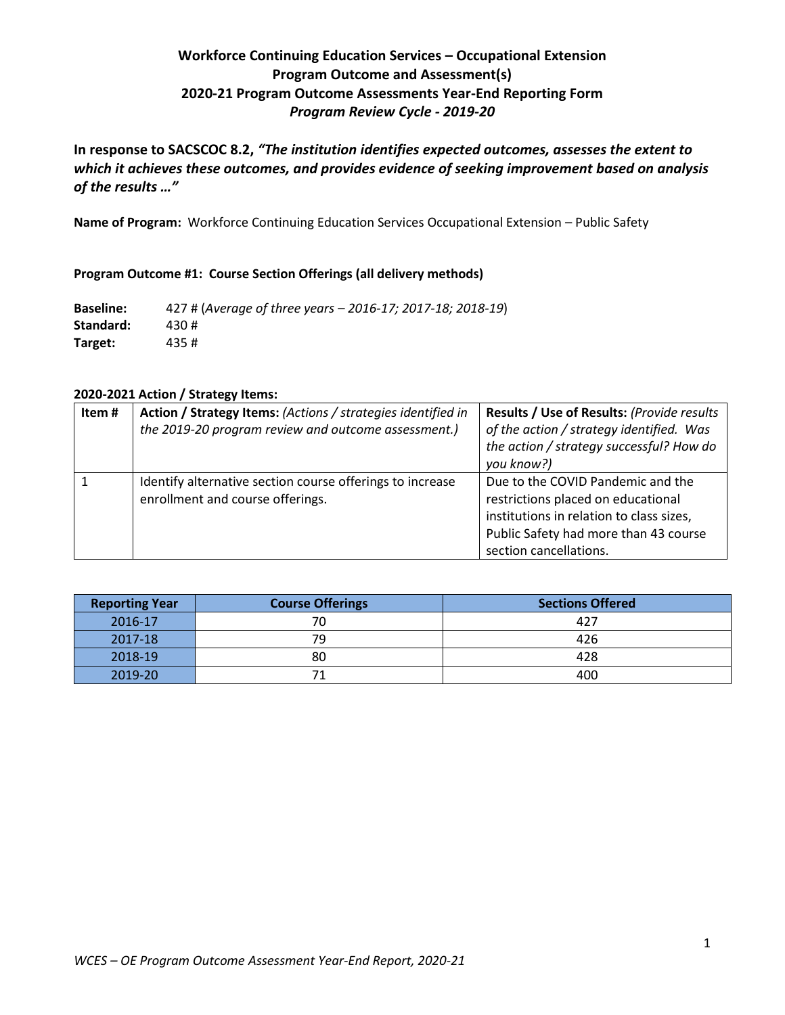# **Workforce Continuing Education Services – Occupational Extension Program Outcome and Assessment(s) 2020-21 Program Outcome Assessments Year-End Reporting Form** *Program Review Cycle - 2019-20*

**In response to SACSCOC 8.2,** *"The institution identifies expected outcomes, assesses the extent to which it achieves these outcomes, and provides evidence of seeking improvement based on analysis of the results …"*

**Name of Program:** Workforce Continuing Education Services Occupational Extension – Public Safety

### **Program Outcome #1: Course Section Offerings (all delivery methods)**

**Baseline:** 427 # (*Average of three years – 2016-17; 2017-18; 2018-19*) **Standard:** 430 # **Target:** 435 #

### **2020-2021 Action / Strategy Items:**

| Item# | Action / Strategy Items: (Actions / strategies identified in<br>the 2019-20 program review and outcome assessment.) | Results / Use of Results: (Provide results<br>of the action / strategy identified. Was<br>the action / strategy successful? How do<br>you know?)                                       |
|-------|---------------------------------------------------------------------------------------------------------------------|----------------------------------------------------------------------------------------------------------------------------------------------------------------------------------------|
|       | Identify alternative section course offerings to increase<br>enrollment and course offerings.                       | Due to the COVID Pandemic and the<br>restrictions placed on educational<br>institutions in relation to class sizes,<br>Public Safety had more than 43 course<br>section cancellations. |

| <b>Course Offerings</b><br><b>Reporting Year</b> |    | <b>Sections Offered</b> |
|--------------------------------------------------|----|-------------------------|
| 2016-17                                          | 70 | 427                     |
| 2017-18                                          | 79 | 426                     |
| 2018-19                                          | 80 | 428                     |
| 2019-20                                          |    | 400                     |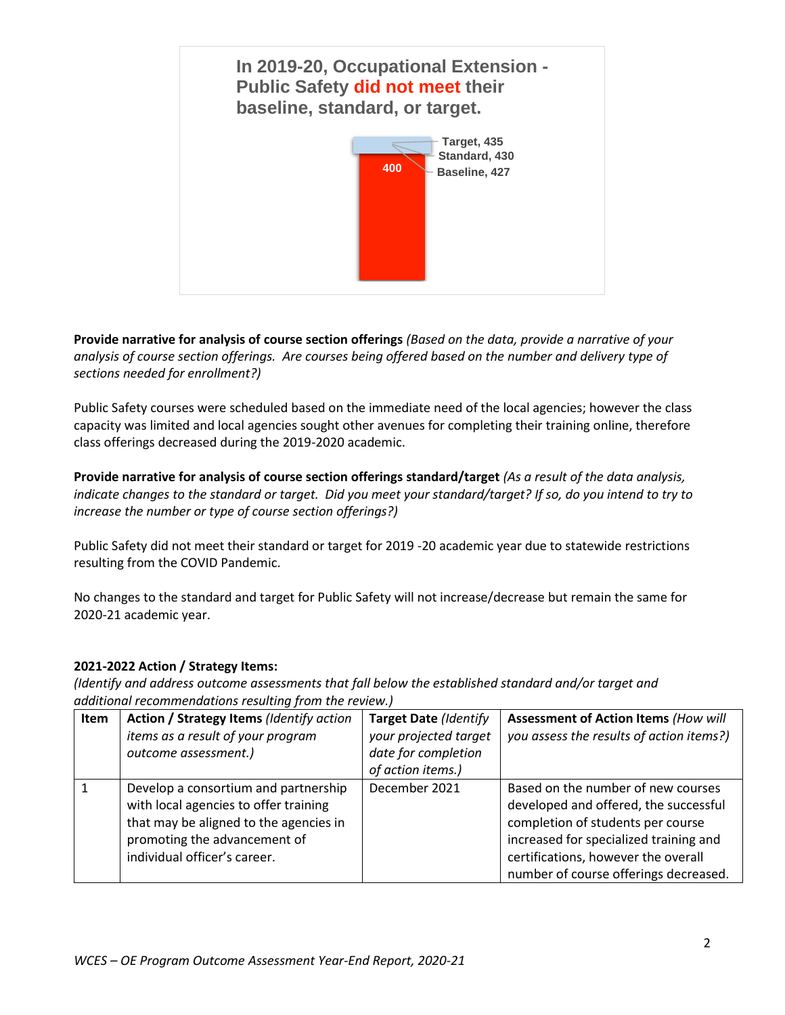

**Provide narrative for analysis of course section offerings** *(Based on the data, provide a narrative of your analysis of course section offerings. Are courses being offered based on the number and delivery type of sections needed for enrollment?)*

Public Safety courses were scheduled based on the immediate need of the local agencies; however the class capacity was limited and local agencies sought other avenues for completing their training online, therefore class offerings decreased during the 2019-2020 academic.

**Provide narrative for analysis of course section offerings standard/target** *(As a result of the data analysis, indicate changes to the standard or target. Did you meet your standard/target? If so, do you intend to try to increase the number or type of course section offerings?)*

Public Safety did not meet their standard or target for 2019 -20 academic year due to statewide restrictions resulting from the COVID Pandemic.

No changes to the standard and target for Public Safety will not increase/decrease but remain the same for 2020-21 academic year.

# **2021-2022 Action / Strategy Items:**

| <b>Item</b> | Action / Strategy Items (Identify action<br>items as a result of your program<br>outcome assessment.)                                                                                   | <b>Target Date (Identify</b><br>your projected target<br>date for completion<br>of action items.) | <b>Assessment of Action Items (How will</b><br>you assess the results of action items?)                                                                                                                                                    |
|-------------|-----------------------------------------------------------------------------------------------------------------------------------------------------------------------------------------|---------------------------------------------------------------------------------------------------|--------------------------------------------------------------------------------------------------------------------------------------------------------------------------------------------------------------------------------------------|
|             | Develop a consortium and partnership<br>with local agencies to offer training<br>that may be aligned to the agencies in<br>promoting the advancement of<br>individual officer's career. | December 2021                                                                                     | Based on the number of new courses<br>developed and offered, the successful<br>completion of students per course<br>increased for specialized training and<br>certifications, however the overall<br>number of course offerings decreased. |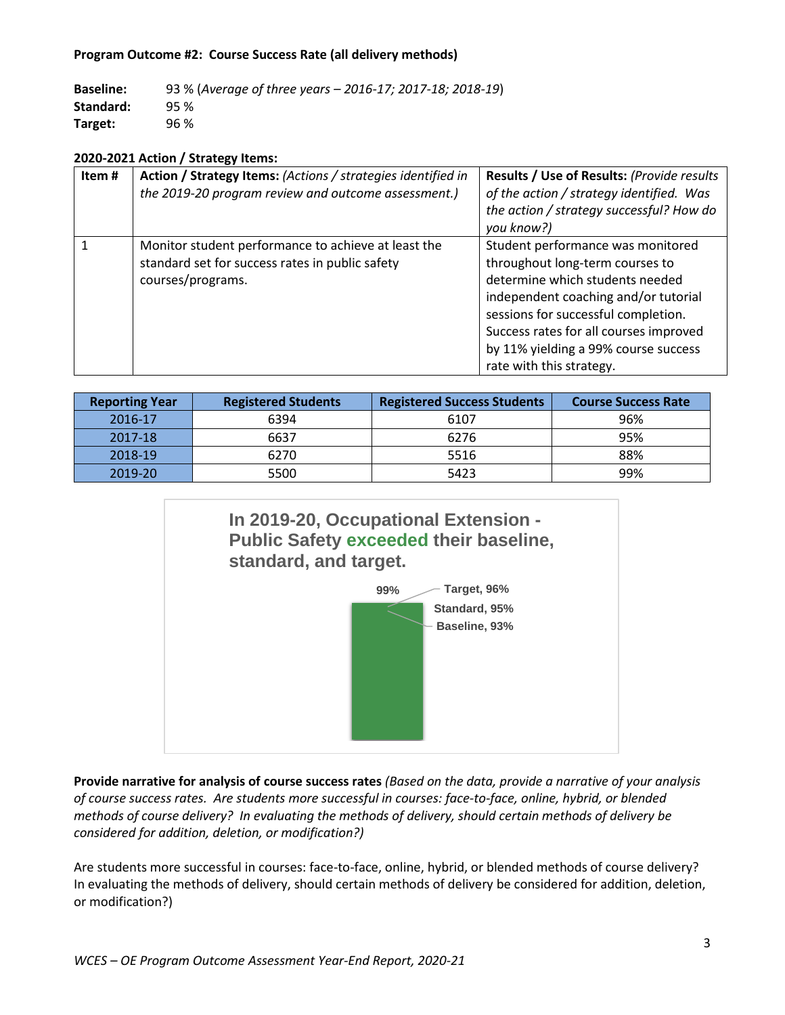### **Program Outcome #2: Course Success Rate (all delivery methods)**

**Baseline:** 93 % (*Average of three years – 2016-17; 2017-18; 2018-19*) **Standard:** 95 % **Target:** 96 %

#### **2020-2021 Action / Strategy Items:**

| Item# | Action / Strategy Items: (Actions / strategies identified in<br>the 2019-20 program review and outcome assessment.)         | Results / Use of Results: (Provide results<br>of the action / strategy identified. Was<br>the action / strategy successful? How do<br>you know?)                                                                                                                                                     |
|-------|-----------------------------------------------------------------------------------------------------------------------------|------------------------------------------------------------------------------------------------------------------------------------------------------------------------------------------------------------------------------------------------------------------------------------------------------|
|       | Monitor student performance to achieve at least the<br>standard set for success rates in public safety<br>courses/programs. | Student performance was monitored<br>throughout long-term courses to<br>determine which students needed<br>independent coaching and/or tutorial<br>sessions for successful completion.<br>Success rates for all courses improved<br>by 11% yielding a 99% course success<br>rate with this strategy. |

| <b>Reporting Year</b> | <b>Registered Students</b> | <b>Registered Success Students</b> | <b>Course Success Rate</b> |
|-----------------------|----------------------------|------------------------------------|----------------------------|
| 2016-17               | 6394                       | 6107                               | 96%                        |
| 2017-18               | 6637                       | 6276                               | 95%                        |
| 2018-19               | 6270                       | 5516                               | 88%                        |
| 2019-20               | 5500                       | 5423                               | 99%                        |



**Provide narrative for analysis of course success rates** *(Based on the data, provide a narrative of your analysis of course success rates. Are students more successful in courses: face-to-face, online, hybrid, or blended methods of course delivery? In evaluating the methods of delivery, should certain methods of delivery be considered for addition, deletion, or modification?)*

Are students more successful in courses: face-to-face, online, hybrid, or blended methods of course delivery? In evaluating the methods of delivery, should certain methods of delivery be considered for addition, deletion, or modification?)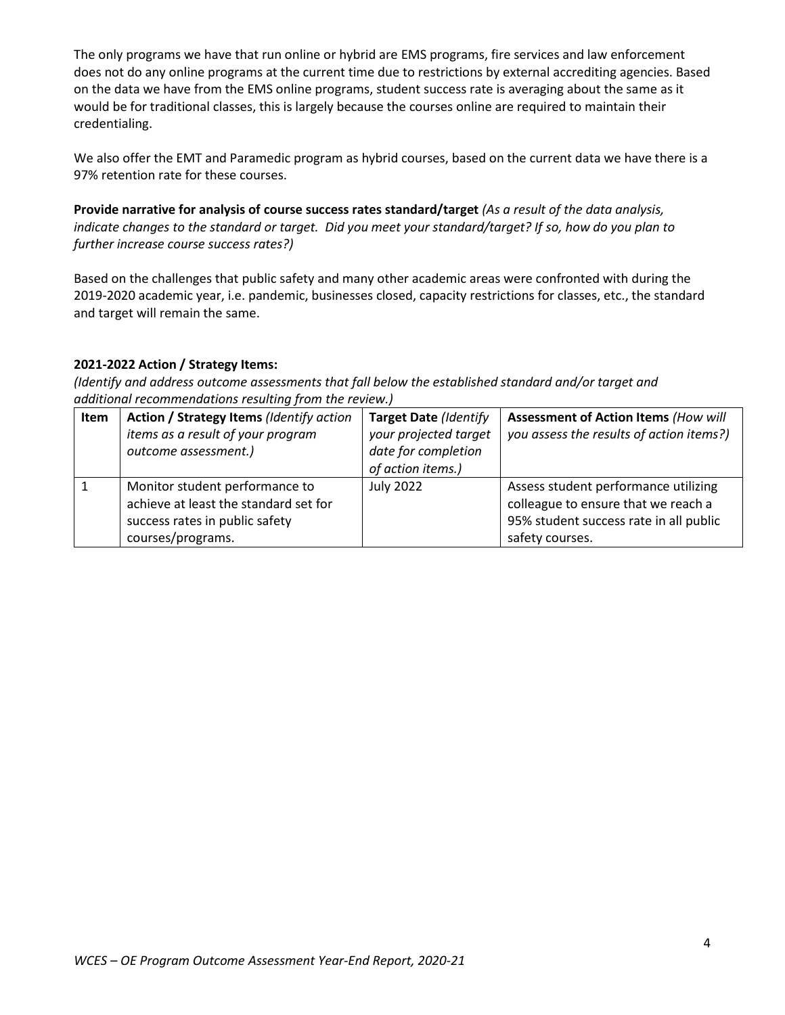The only programs we have that run online or hybrid are EMS programs, fire services and law enforcement does not do any online programs at the current time due to restrictions by external accrediting agencies. Based on the data we have from the EMS online programs, student success rate is averaging about the same as it would be for traditional classes, this is largely because the courses online are required to maintain their credentialing.

We also offer the EMT and Paramedic program as hybrid courses, based on the current data we have there is a 97% retention rate for these courses.

**Provide narrative for analysis of course success rates standard/target** *(As a result of the data analysis, indicate changes to the standard or target. Did you meet your standard/target? If so, how do you plan to further increase course success rates?)*

Based on the challenges that public safety and many other academic areas were confronted with during the 2019-2020 academic year, i.e. pandemic, businesses closed, capacity restrictions for classes, etc., the standard and target will remain the same.

# **2021-2022 Action / Strategy Items:**

| <b>Item</b> | Action / Strategy Items (Identify action | Target Date (Identify | <b>Assessment of Action Items (How will</b> |
|-------------|------------------------------------------|-----------------------|---------------------------------------------|
|             | items as a result of your program        | your projected target | you assess the results of action items?)    |
|             | outcome assessment.)                     | date for completion   |                                             |
|             |                                          | of action items.)     |                                             |
|             | Monitor student performance to           | <b>July 2022</b>      | Assess student performance utilizing        |
|             | achieve at least the standard set for    |                       | colleague to ensure that we reach a         |
|             | success rates in public safety           |                       | 95% student success rate in all public      |
|             | courses/programs.                        |                       | safety courses.                             |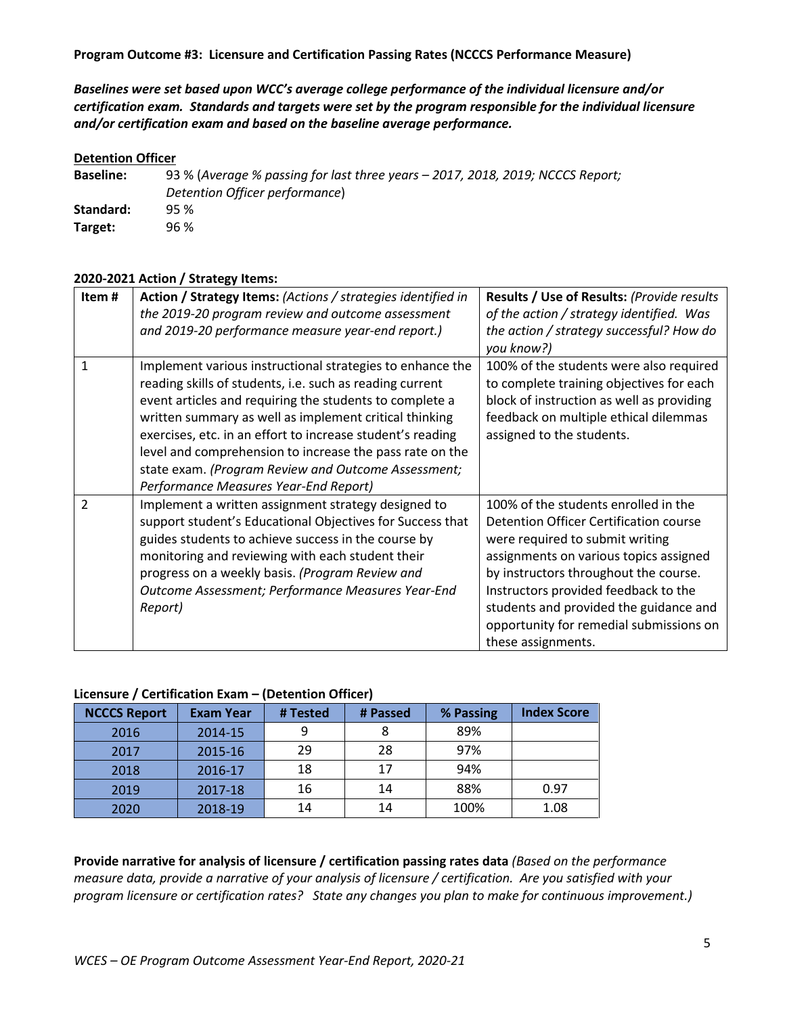*Baselines were set based upon WCC's average college performance of the individual licensure and/or certification exam. Standards and targets were set by the program responsible for the individual licensure and/or certification exam and based on the baseline average performance.*

#### **Detention Officer**

**Baseline:** 93 % (*Average % passing for last three years – 2017, 2018, 2019; NCCCS Report; Detention Officer performance*) **Standard:** 95 % **Target:** 96 %

#### **2020-2021 Action / Strategy Items:**

| Item#         | Action / Strategy Items: (Actions / strategies identified in | Results / Use of Results: (Provide results |
|---------------|--------------------------------------------------------------|--------------------------------------------|
|               | the 2019-20 program review and outcome assessment            | of the action / strategy identified. Was   |
|               | and 2019-20 performance measure year-end report.)            | the action / strategy successful? How do   |
|               |                                                              | you know?)                                 |
| 1             | Implement various instructional strategies to enhance the    | 100% of the students were also required    |
|               | reading skills of students, i.e. such as reading current     | to complete training objectives for each   |
|               | event articles and requiring the students to complete a      | block of instruction as well as providing  |
|               | written summary as well as implement critical thinking       | feedback on multiple ethical dilemmas      |
|               | exercises, etc. in an effort to increase student's reading   | assigned to the students.                  |
|               | level and comprehension to increase the pass rate on the     |                                            |
|               | state exam. (Program Review and Outcome Assessment;          |                                            |
|               | Performance Measures Year-End Report)                        |                                            |
| $\mathcal{P}$ | Implement a written assignment strategy designed to          | 100% of the students enrolled in the       |
|               | support student's Educational Objectives for Success that    | Detention Officer Certification course     |
|               | guides students to achieve success in the course by          | were required to submit writing            |
|               | monitoring and reviewing with each student their             | assignments on various topics assigned     |
|               | progress on a weekly basis. (Program Review and              | by instructors throughout the course.      |
|               | Outcome Assessment; Performance Measures Year-End            | Instructors provided feedback to the       |
|               | Report)                                                      | students and provided the guidance and     |
|               |                                                              | opportunity for remedial submissions on    |
|               |                                                              | these assignments.                         |

### **Licensure / Certification Exam – (Detention Officer)**

| <b>NCCCS Report</b> | <b>Exam Year</b> | # Tested | # Passed | % Passing | <b>Index Score</b> |
|---------------------|------------------|----------|----------|-----------|--------------------|
| 2016                | 2014-15          |          | 8        | 89%       |                    |
| 2017                | 2015-16          | 29       | 28       | 97%       |                    |
| 2018                | 2016-17          | 18       | 17       | 94%       |                    |
| 2019                | 2017-18          | 16       | 14       | 88%       | 0.97               |
| 2020                | 2018-19          | 14       | 14       | 100%      | 1.08               |

**Provide narrative for analysis of licensure / certification passing rates data** *(Based on the performance measure data, provide a narrative of your analysis of licensure / certification. Are you satisfied with your program licensure or certification rates? State any changes you plan to make for continuous improvement.)*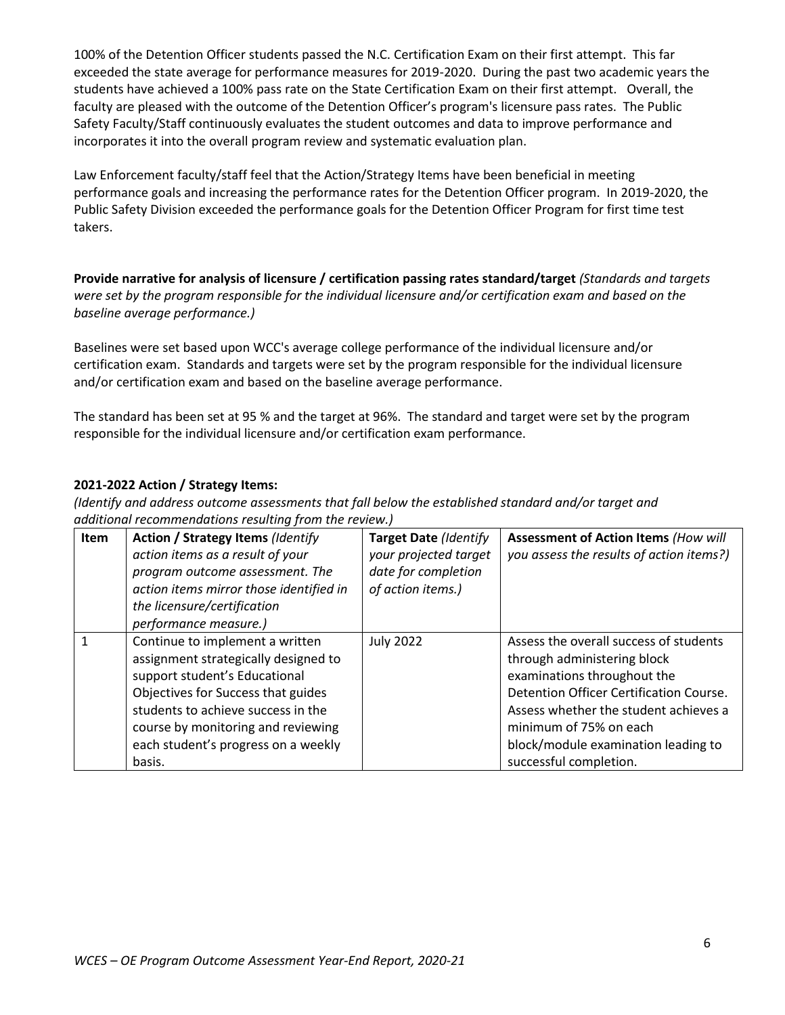100% of the Detention Officer students passed the N.C. Certification Exam on their first attempt. This far exceeded the state average for performance measures for 2019-2020. During the past two academic years the students have achieved a 100% pass rate on the State Certification Exam on their first attempt. Overall, the faculty are pleased with the outcome of the Detention Officer's program's licensure pass rates. The Public Safety Faculty/Staff continuously evaluates the student outcomes and data to improve performance and incorporates it into the overall program review and systematic evaluation plan.

Law Enforcement faculty/staff feel that the Action/Strategy Items have been beneficial in meeting performance goals and increasing the performance rates for the Detention Officer program. In 2019-2020, the Public Safety Division exceeded the performance goals for the Detention Officer Program for first time test takers.

**Provide narrative for analysis of licensure / certification passing rates standard/target** *(Standards and targets were set by the program responsible for the individual licensure and/or certification exam and based on the baseline average performance.)* 

Baselines were set based upon WCC's average college performance of the individual licensure and/or certification exam. Standards and targets were set by the program responsible for the individual licensure and/or certification exam and based on the baseline average performance.

The standard has been set at 95 % and the target at 96%. The standard and target were set by the program responsible for the individual licensure and/or certification exam performance.

# **2021-2022 Action / Strategy Items:**

| Item | <b>Action / Strategy Items (Identify</b><br>action items as a result of your<br>program outcome assessment. The<br>action items mirror those identified in<br>the licensure/certification<br>performance measure.)                                                          | <b>Target Date (Identify</b><br>your projected target<br>date for completion<br>of action items.) | <b>Assessment of Action Items (How will</b><br>you assess the results of action items?)                                                                                                                                                                                             |
|------|-----------------------------------------------------------------------------------------------------------------------------------------------------------------------------------------------------------------------------------------------------------------------------|---------------------------------------------------------------------------------------------------|-------------------------------------------------------------------------------------------------------------------------------------------------------------------------------------------------------------------------------------------------------------------------------------|
|      | Continue to implement a written<br>assignment strategically designed to<br>support student's Educational<br>Objectives for Success that guides<br>students to achieve success in the<br>course by monitoring and reviewing<br>each student's progress on a weekly<br>basis. | <b>July 2022</b>                                                                                  | Assess the overall success of students<br>through administering block<br>examinations throughout the<br>Detention Officer Certification Course.<br>Assess whether the student achieves a<br>minimum of 75% on each<br>block/module examination leading to<br>successful completion. |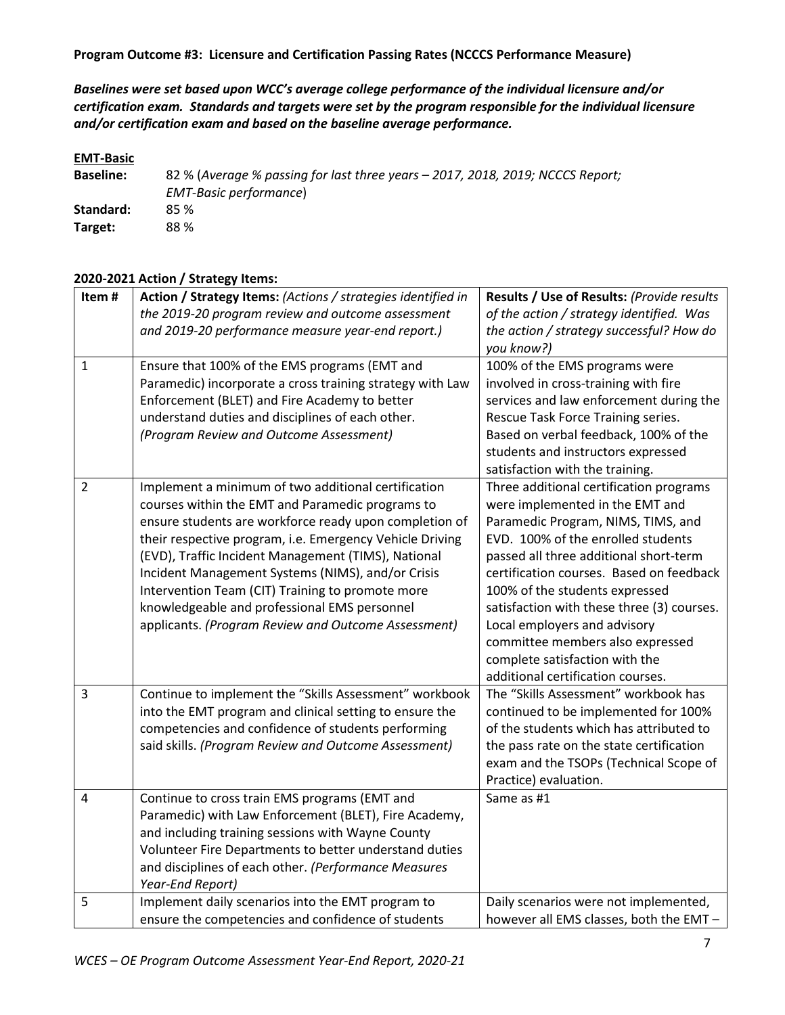*Baselines were set based upon WCC's average college performance of the individual licensure and/or certification exam. Standards and targets were set by the program responsible for the individual licensure and/or certification exam and based on the baseline average performance.*

### **EMT-Basic**

**Baseline:** 82 % (*Average % passing for last three years – 2017, 2018, 2019; NCCCS Report; EMT-Basic performance*) **Standard:** 85 % **Target:** 88 %

## **2020-2021 Action / Strategy Items:**

| Item#          | Action / Strategy Items: (Actions / strategies identified in<br>the 2019-20 program review and outcome assessment<br>and 2019-20 performance measure year-end report.)                                                                                                                                                                                                                                                                                                                               | Results / Use of Results: (Provide results<br>of the action / strategy identified. Was<br>the action / strategy successful? How do<br>you know?)                                                                                                                                                                                                                                                                                                                        |
|----------------|------------------------------------------------------------------------------------------------------------------------------------------------------------------------------------------------------------------------------------------------------------------------------------------------------------------------------------------------------------------------------------------------------------------------------------------------------------------------------------------------------|-------------------------------------------------------------------------------------------------------------------------------------------------------------------------------------------------------------------------------------------------------------------------------------------------------------------------------------------------------------------------------------------------------------------------------------------------------------------------|
| $\mathbf{1}$   | Ensure that 100% of the EMS programs (EMT and<br>Paramedic) incorporate a cross training strategy with Law<br>Enforcement (BLET) and Fire Academy to better<br>understand duties and disciplines of each other.<br>(Program Review and Outcome Assessment)                                                                                                                                                                                                                                           | 100% of the EMS programs were<br>involved in cross-training with fire<br>services and law enforcement during the<br>Rescue Task Force Training series.<br>Based on verbal feedback, 100% of the<br>students and instructors expressed<br>satisfaction with the training.                                                                                                                                                                                                |
| $\overline{2}$ | Implement a minimum of two additional certification<br>courses within the EMT and Paramedic programs to<br>ensure students are workforce ready upon completion of<br>their respective program, i.e. Emergency Vehicle Driving<br>(EVD), Traffic Incident Management (TIMS), National<br>Incident Management Systems (NIMS), and/or Crisis<br>Intervention Team (CIT) Training to promote more<br>knowledgeable and professional EMS personnel<br>applicants. (Program Review and Outcome Assessment) | Three additional certification programs<br>were implemented in the EMT and<br>Paramedic Program, NIMS, TIMS, and<br>EVD. 100% of the enrolled students<br>passed all three additional short-term<br>certification courses. Based on feedback<br>100% of the students expressed<br>satisfaction with these three (3) courses.<br>Local employers and advisory<br>committee members also expressed<br>complete satisfaction with the<br>additional certification courses. |
| 3              | Continue to implement the "Skills Assessment" workbook<br>into the EMT program and clinical setting to ensure the<br>competencies and confidence of students performing<br>said skills. (Program Review and Outcome Assessment)                                                                                                                                                                                                                                                                      | The "Skills Assessment" workbook has<br>continued to be implemented for 100%<br>of the students which has attributed to<br>the pass rate on the state certification<br>exam and the TSOPs (Technical Scope of<br>Practice) evaluation.                                                                                                                                                                                                                                  |
| 4              | Continue to cross train EMS programs (EMT and<br>Paramedic) with Law Enforcement (BLET), Fire Academy,<br>and including training sessions with Wayne County<br>Volunteer Fire Departments to better understand duties<br>and disciplines of each other. (Performance Measures<br>Year-End Report)                                                                                                                                                                                                    | Same as #1                                                                                                                                                                                                                                                                                                                                                                                                                                                              |
| 5              | Implement daily scenarios into the EMT program to<br>ensure the competencies and confidence of students                                                                                                                                                                                                                                                                                                                                                                                              | Daily scenarios were not implemented,<br>however all EMS classes, both the EMT -                                                                                                                                                                                                                                                                                                                                                                                        |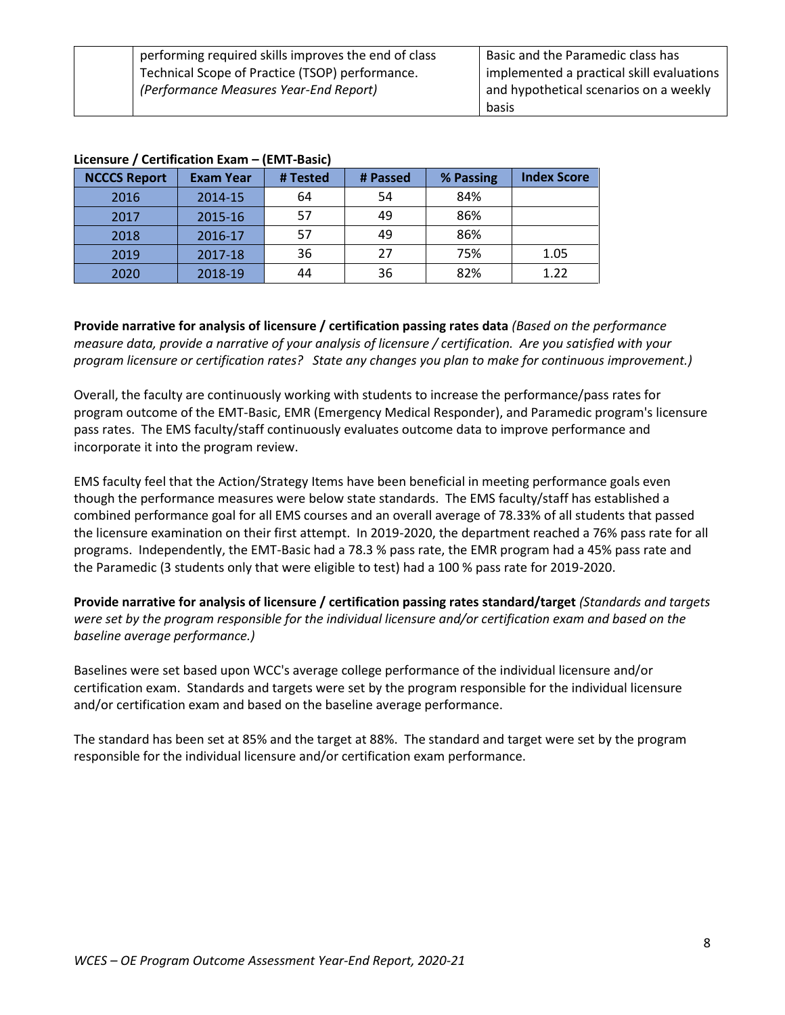| performing required skills improves the end of class | Basic and the Paramedic class has         |
|------------------------------------------------------|-------------------------------------------|
| Technical Scope of Practice (TSOP) performance.      | implemented a practical skill evaluations |
| (Performance Measures Year-End Report)               | and hypothetical scenarios on a weekly    |
|                                                      | basis                                     |

|                     |                  | ----- ------ |          |           |                    |
|---------------------|------------------|--------------|----------|-----------|--------------------|
| <b>NCCCS Report</b> | <b>Exam Year</b> | # Tested     | # Passed | % Passing | <b>Index Score</b> |
| 2016                | 2014-15          | 64           | 54       | 84%       |                    |
| 2017                | 2015-16          | 57           | 49       | 86%       |                    |
| 2018                | 2016-17          | 57           | 49       | 86%       |                    |
| 2019                | 2017-18          | 36           | 27       | 75%       | 1.05               |
| 2020                | 2018-19          | 44           | 36       | 82%       | 1.22               |

#### **Licensure / Certification Exam – (EMT-Basic)**

**Provide narrative for analysis of licensure / certification passing rates data** *(Based on the performance measure data, provide a narrative of your analysis of licensure / certification. Are you satisfied with your program licensure or certification rates? State any changes you plan to make for continuous improvement.)*

Overall, the faculty are continuously working with students to increase the performance/pass rates for program outcome of the EMT-Basic, EMR (Emergency Medical Responder), and Paramedic program's licensure pass rates. The EMS faculty/staff continuously evaluates outcome data to improve performance and incorporate it into the program review.

EMS faculty feel that the Action/Strategy Items have been beneficial in meeting performance goals even though the performance measures were below state standards. The EMS faculty/staff has established a combined performance goal for all EMS courses and an overall average of 78.33% of all students that passed the licensure examination on their first attempt. In 2019-2020, the department reached a 76% pass rate for all programs. Independently, the EMT-Basic had a 78.3 % pass rate, the EMR program had a 45% pass rate and the Paramedic (3 students only that were eligible to test) had a 100 % pass rate for 2019-2020.

**Provide narrative for analysis of licensure / certification passing rates standard/target** *(Standards and targets were set by the program responsible for the individual licensure and/or certification exam and based on the baseline average performance.)* 

Baselines were set based upon WCC's average college performance of the individual licensure and/or certification exam. Standards and targets were set by the program responsible for the individual licensure and/or certification exam and based on the baseline average performance.

The standard has been set at 85% and the target at 88%. The standard and target were set by the program responsible for the individual licensure and/or certification exam performance.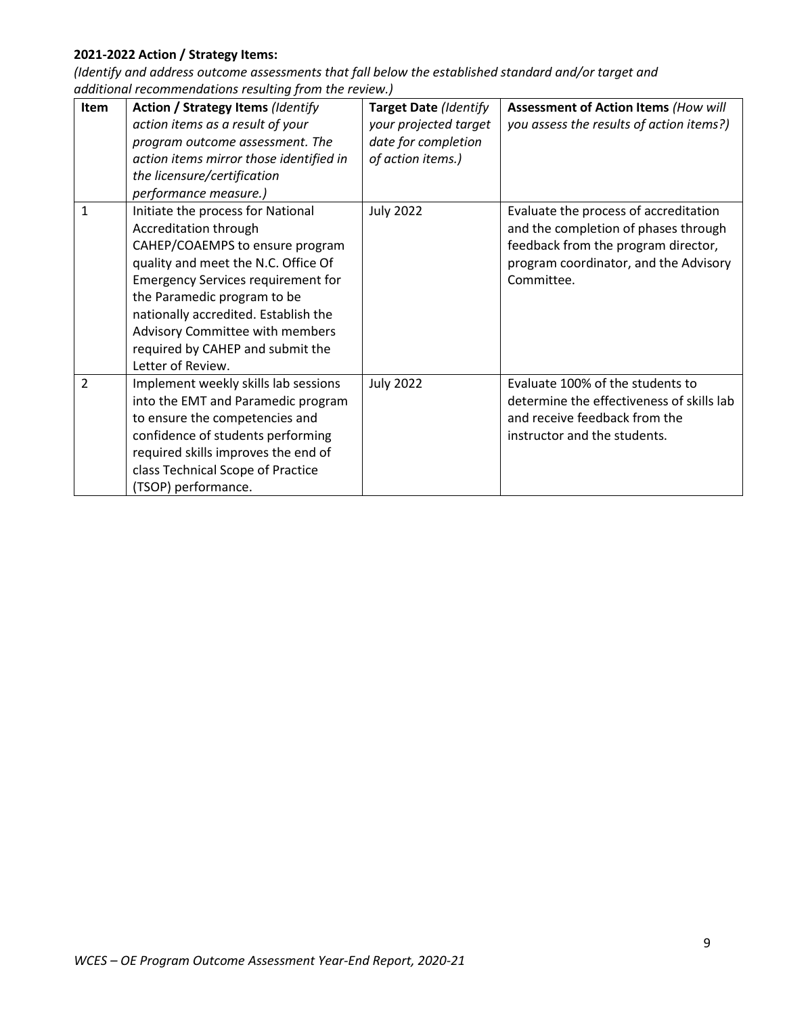# **2021-2022 Action / Strategy Items:**

| <b>Item</b>    | <b>Action / Strategy Items (Identify</b><br>action items as a result of your<br>program outcome assessment. The<br>action items mirror those identified in<br>the licensure/certification<br>performance measure.)                                                                                                                                   | Target Date (Identify<br>your projected target<br>date for completion<br>of action items.) | <b>Assessment of Action Items (How will</b><br>you assess the results of action items?)                                                                                     |
|----------------|------------------------------------------------------------------------------------------------------------------------------------------------------------------------------------------------------------------------------------------------------------------------------------------------------------------------------------------------------|--------------------------------------------------------------------------------------------|-----------------------------------------------------------------------------------------------------------------------------------------------------------------------------|
| 1              | Initiate the process for National<br>Accreditation through<br>CAHEP/COAEMPS to ensure program<br>quality and meet the N.C. Office Of<br><b>Emergency Services requirement for</b><br>the Paramedic program to be<br>nationally accredited. Establish the<br>Advisory Committee with members<br>required by CAHEP and submit the<br>Letter of Review. | <b>July 2022</b>                                                                           | Evaluate the process of accreditation<br>and the completion of phases through<br>feedback from the program director,<br>program coordinator, and the Advisory<br>Committee. |
| $\overline{2}$ | Implement weekly skills lab sessions<br>into the EMT and Paramedic program<br>to ensure the competencies and<br>confidence of students performing<br>required skills improves the end of<br>class Technical Scope of Practice<br>(TSOP) performance.                                                                                                 | <b>July 2022</b>                                                                           | Evaluate 100% of the students to<br>determine the effectiveness of skills lab<br>and receive feedback from the<br>instructor and the students.                              |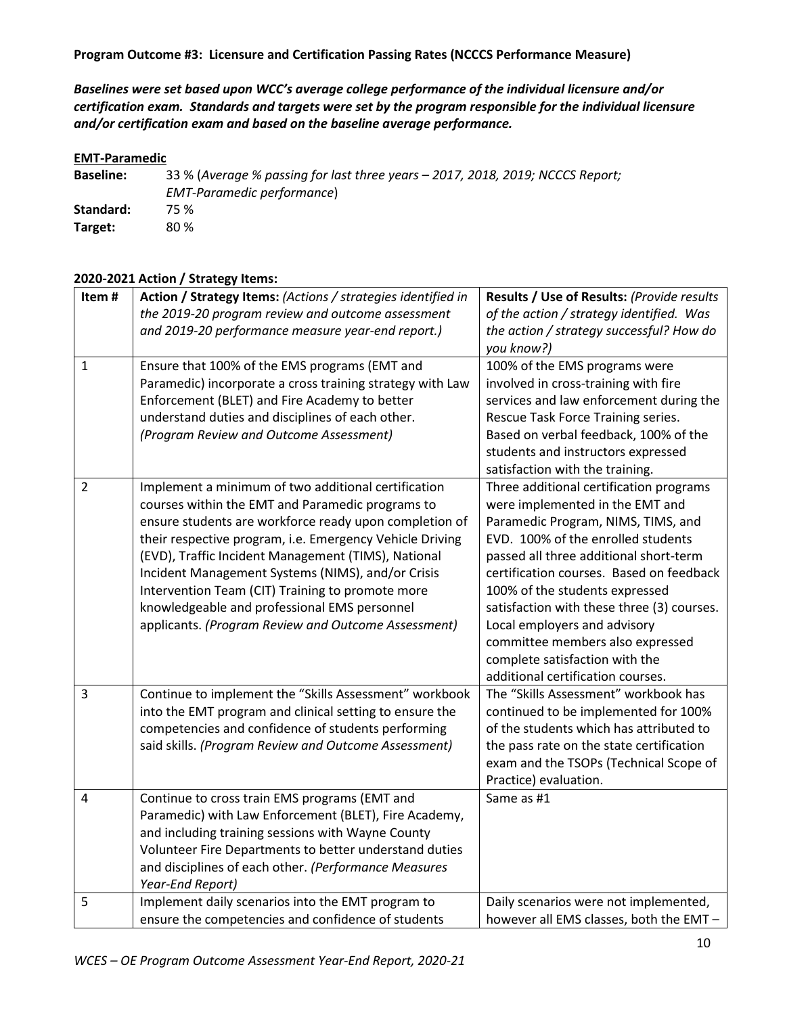*Baselines were set based upon WCC's average college performance of the individual licensure and/or certification exam. Standards and targets were set by the program responsible for the individual licensure and/or certification exam and based on the baseline average performance.*

### **EMT-Paramedic**

**Baseline:** 33 % (*Average % passing for last three years – 2017, 2018, 2019; NCCCS Report; EMT-Paramedic performance*) **Standard:** 75 % **Target:** 80 %

## **2020-2021 Action / Strategy Items:**

| Item#          | Action / Strategy Items: (Actions / strategies identified in<br>the 2019-20 program review and outcome assessment<br>and 2019-20 performance measure year-end report.)                                                                                                                                                                                                                                                                                                                               | Results / Use of Results: (Provide results<br>of the action / strategy identified. Was<br>the action / strategy successful? How do<br>you know?)                                                                                                                                                                                                                                                                                                                        |
|----------------|------------------------------------------------------------------------------------------------------------------------------------------------------------------------------------------------------------------------------------------------------------------------------------------------------------------------------------------------------------------------------------------------------------------------------------------------------------------------------------------------------|-------------------------------------------------------------------------------------------------------------------------------------------------------------------------------------------------------------------------------------------------------------------------------------------------------------------------------------------------------------------------------------------------------------------------------------------------------------------------|
| $\mathbf{1}$   | Ensure that 100% of the EMS programs (EMT and<br>Paramedic) incorporate a cross training strategy with Law<br>Enforcement (BLET) and Fire Academy to better<br>understand duties and disciplines of each other.<br>(Program Review and Outcome Assessment)                                                                                                                                                                                                                                           | 100% of the EMS programs were<br>involved in cross-training with fire<br>services and law enforcement during the<br>Rescue Task Force Training series.<br>Based on verbal feedback, 100% of the<br>students and instructors expressed<br>satisfaction with the training.                                                                                                                                                                                                |
| $\overline{2}$ | Implement a minimum of two additional certification<br>courses within the EMT and Paramedic programs to<br>ensure students are workforce ready upon completion of<br>their respective program, i.e. Emergency Vehicle Driving<br>(EVD), Traffic Incident Management (TIMS), National<br>Incident Management Systems (NIMS), and/or Crisis<br>Intervention Team (CIT) Training to promote more<br>knowledgeable and professional EMS personnel<br>applicants. (Program Review and Outcome Assessment) | Three additional certification programs<br>were implemented in the EMT and<br>Paramedic Program, NIMS, TIMS, and<br>EVD. 100% of the enrolled students<br>passed all three additional short-term<br>certification courses. Based on feedback<br>100% of the students expressed<br>satisfaction with these three (3) courses.<br>Local employers and advisory<br>committee members also expressed<br>complete satisfaction with the<br>additional certification courses. |
| 3              | Continue to implement the "Skills Assessment" workbook<br>into the EMT program and clinical setting to ensure the<br>competencies and confidence of students performing<br>said skills. (Program Review and Outcome Assessment)                                                                                                                                                                                                                                                                      | The "Skills Assessment" workbook has<br>continued to be implemented for 100%<br>of the students which has attributed to<br>the pass rate on the state certification<br>exam and the TSOPs (Technical Scope of<br>Practice) evaluation.                                                                                                                                                                                                                                  |
| 4              | Continue to cross train EMS programs (EMT and<br>Paramedic) with Law Enforcement (BLET), Fire Academy,<br>and including training sessions with Wayne County<br>Volunteer Fire Departments to better understand duties<br>and disciplines of each other. (Performance Measures<br>Year-End Report)                                                                                                                                                                                                    | Same as #1                                                                                                                                                                                                                                                                                                                                                                                                                                                              |
| 5              | Implement daily scenarios into the EMT program to<br>ensure the competencies and confidence of students                                                                                                                                                                                                                                                                                                                                                                                              | Daily scenarios were not implemented,<br>however all EMS classes, both the EMT -                                                                                                                                                                                                                                                                                                                                                                                        |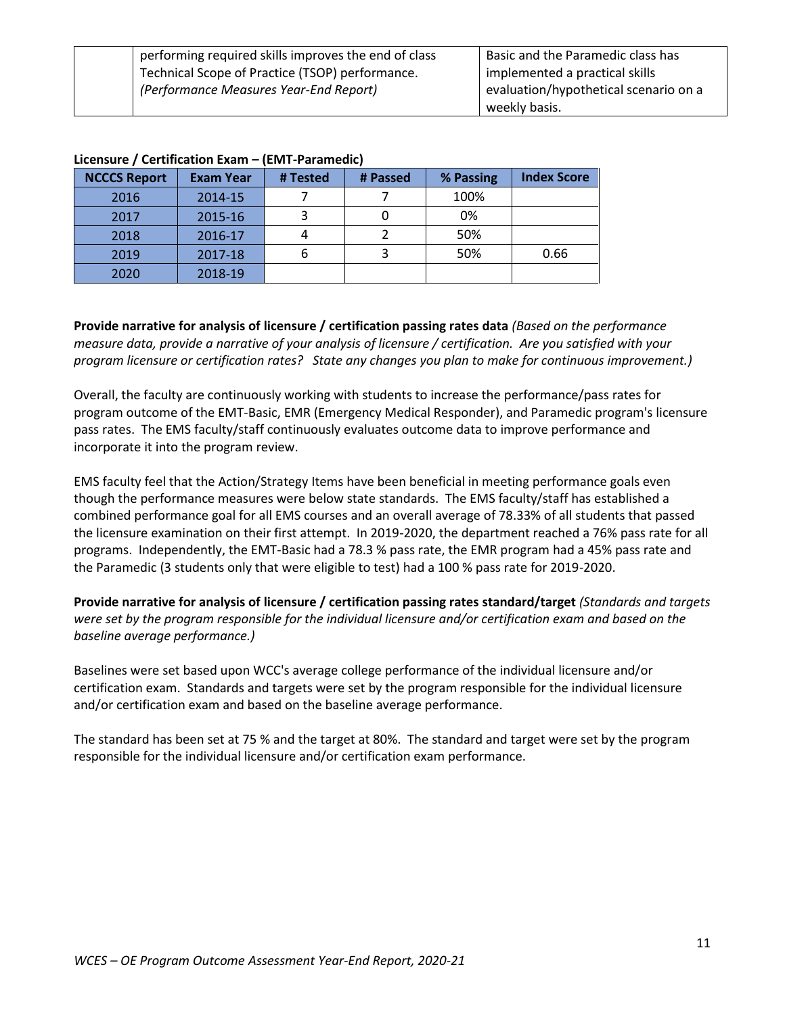| performing required skills improves the end of class | Basic and the Paramedic class has     |
|------------------------------------------------------|---------------------------------------|
| Technical Scope of Practice (TSOP) performance.      | implemented a practical skills        |
| (Performance Measures Year-End Report)               | evaluation/hypothetical scenario on a |
|                                                      | weekly basis.                         |

| <b>EIVEIIJMI C / UCI (IIIUG (IVII EAGIII</b> |                  |          |          |           |                    |
|----------------------------------------------|------------------|----------|----------|-----------|--------------------|
| <b>NCCCS Report</b>                          | <b>Exam Year</b> | # Tested | # Passed | % Passing | <b>Index Score</b> |
| 2016                                         | 2014-15          |          |          | 100%      |                    |
| 2017                                         | 2015-16          |          |          | 0%        |                    |
| 2018                                         | 2016-17          |          |          | 50%       |                    |
| 2019                                         | 2017-18          |          |          | 50%       | 0.66               |
| 2020                                         | 2018-19          |          |          |           |                    |

#### **Licensure / Certification Exam – (EMT-Paramedic)**

**Provide narrative for analysis of licensure / certification passing rates data** *(Based on the performance measure data, provide a narrative of your analysis of licensure / certification. Are you satisfied with your program licensure or certification rates? State any changes you plan to make for continuous improvement.)*

Overall, the faculty are continuously working with students to increase the performance/pass rates for program outcome of the EMT-Basic, EMR (Emergency Medical Responder), and Paramedic program's licensure pass rates. The EMS faculty/staff continuously evaluates outcome data to improve performance and incorporate it into the program review.

EMS faculty feel that the Action/Strategy Items have been beneficial in meeting performance goals even though the performance measures were below state standards. The EMS faculty/staff has established a combined performance goal for all EMS courses and an overall average of 78.33% of all students that passed the licensure examination on their first attempt. In 2019-2020, the department reached a 76% pass rate for all programs. Independently, the EMT-Basic had a 78.3 % pass rate, the EMR program had a 45% pass rate and the Paramedic (3 students only that were eligible to test) had a 100 % pass rate for 2019-2020.

**Provide narrative for analysis of licensure / certification passing rates standard/target** *(Standards and targets were set by the program responsible for the individual licensure and/or certification exam and based on the baseline average performance.)* 

Baselines were set based upon WCC's average college performance of the individual licensure and/or certification exam. Standards and targets were set by the program responsible for the individual licensure and/or certification exam and based on the baseline average performance.

The standard has been set at 75 % and the target at 80%. The standard and target were set by the program responsible for the individual licensure and/or certification exam performance.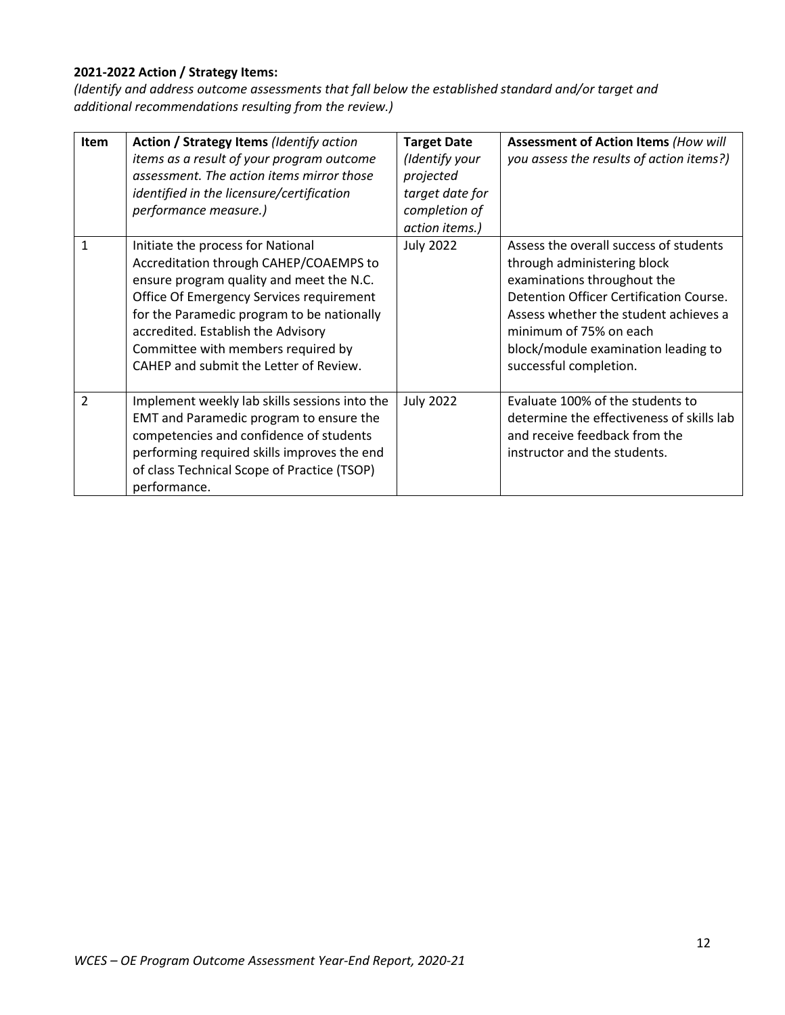# **2021-2022 Action / Strategy Items:**

| <b>Item</b>    | Action / Strategy Items (Identify action<br>items as a result of your program outcome<br>assessment. The action items mirror those<br>identified in the licensure/certification<br>performance measure.)                                                                                                                                | <b>Target Date</b><br>(Identify your<br>projected<br>target date for<br>completion of<br>action items.) | <b>Assessment of Action Items (How will</b><br>you assess the results of action items?)                                                                                                                                                                                             |
|----------------|-----------------------------------------------------------------------------------------------------------------------------------------------------------------------------------------------------------------------------------------------------------------------------------------------------------------------------------------|---------------------------------------------------------------------------------------------------------|-------------------------------------------------------------------------------------------------------------------------------------------------------------------------------------------------------------------------------------------------------------------------------------|
| 1              | Initiate the process for National<br>Accreditation through CAHEP/COAEMPS to<br>ensure program quality and meet the N.C.<br>Office Of Emergency Services requirement<br>for the Paramedic program to be nationally<br>accredited. Establish the Advisory<br>Committee with members required by<br>CAHEP and submit the Letter of Review. | <b>July 2022</b>                                                                                        | Assess the overall success of students<br>through administering block<br>examinations throughout the<br>Detention Officer Certification Course.<br>Assess whether the student achieves a<br>minimum of 75% on each<br>block/module examination leading to<br>successful completion. |
| $\mathfrak{p}$ | Implement weekly lab skills sessions into the<br>EMT and Paramedic program to ensure the<br>competencies and confidence of students<br>performing required skills improves the end<br>of class Technical Scope of Practice (TSOP)<br>performance.                                                                                       | <b>July 2022</b>                                                                                        | Evaluate 100% of the students to<br>determine the effectiveness of skills lab<br>and receive feedback from the<br>instructor and the students.                                                                                                                                      |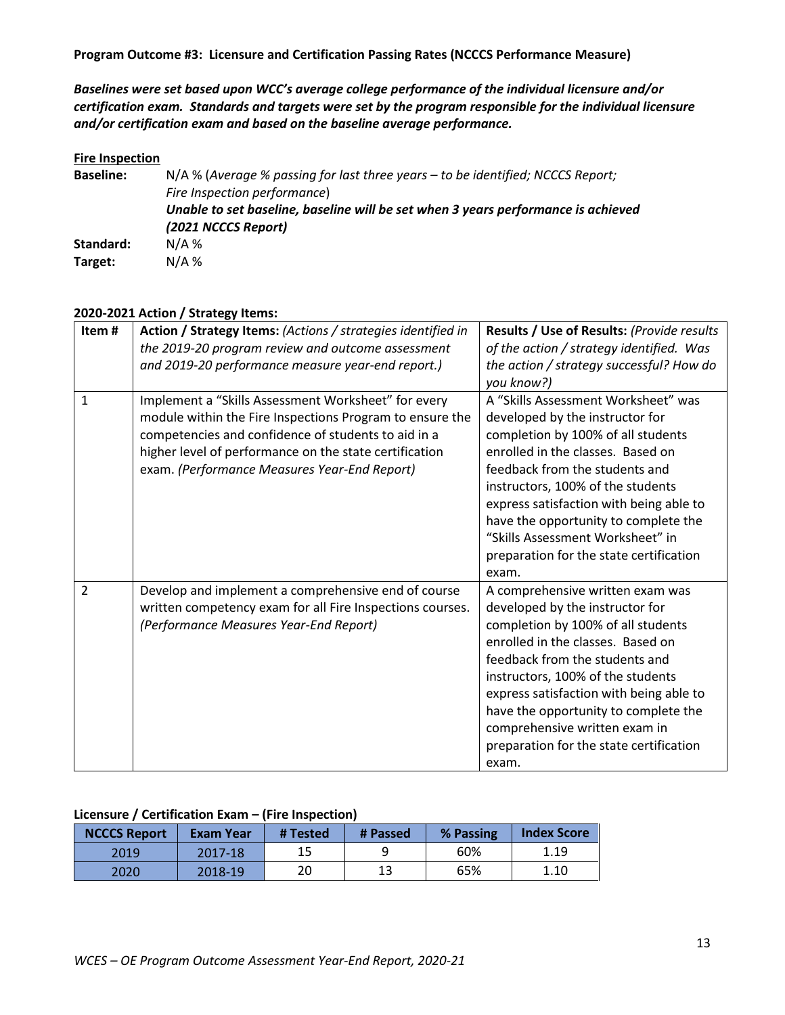*Baselines were set based upon WCC's average college performance of the individual licensure and/or certification exam. Standards and targets were set by the program responsible for the individual licensure and/or certification exam and based on the baseline average performance.*

#### **Fire Inspection**

| <b>Baseline:</b> | N/A % (Average % passing for last three years - to be identified; NCCCS Report;   |
|------------------|-----------------------------------------------------------------------------------|
|                  | Fire Inspection performance)                                                      |
|                  | Unable to set baseline, baseline will be set when 3 years performance is achieved |
|                  | (2021 NCCCS Report)                                                               |
| Standard:        | $N/A$ %                                                                           |
| Target:          | $N/A$ %                                                                           |

### **2020-2021 Action / Strategy Items:**

| Item#          | Action / Strategy Items: (Actions / strategies identified in<br>the 2019-20 program review and outcome assessment<br>and 2019-20 performance measure year-end report.)                                                                                                           | Results / Use of Results: (Provide results<br>of the action / strategy identified. Was<br>the action / strategy successful? How do<br>you know?)                                                                                                                                                                                                                                                    |
|----------------|----------------------------------------------------------------------------------------------------------------------------------------------------------------------------------------------------------------------------------------------------------------------------------|-----------------------------------------------------------------------------------------------------------------------------------------------------------------------------------------------------------------------------------------------------------------------------------------------------------------------------------------------------------------------------------------------------|
| $\mathbf{1}$   | Implement a "Skills Assessment Worksheet" for every<br>module within the Fire Inspections Program to ensure the<br>competencies and confidence of students to aid in a<br>higher level of performance on the state certification<br>exam. (Performance Measures Year-End Report) | A "Skills Assessment Worksheet" was<br>developed by the instructor for<br>completion by 100% of all students<br>enrolled in the classes. Based on<br>feedback from the students and<br>instructors, 100% of the students<br>express satisfaction with being able to<br>have the opportunity to complete the<br>"Skills Assessment Worksheet" in<br>preparation for the state certification<br>exam. |
| $\overline{2}$ | Develop and implement a comprehensive end of course<br>written competency exam for all Fire Inspections courses.<br>(Performance Measures Year-End Report)                                                                                                                       | A comprehensive written exam was<br>developed by the instructor for<br>completion by 100% of all students<br>enrolled in the classes. Based on<br>feedback from the students and<br>instructors, 100% of the students<br>express satisfaction with being able to<br>have the opportunity to complete the<br>comprehensive written exam in<br>preparation for the state certification<br>exam.       |

### **Licensure / Certification Exam – (Fire Inspection)**

| <b>NCCCS Report</b> | Exam Year | # Tested | # Passed | % Passing | <b>Index Score</b> |
|---------------------|-----------|----------|----------|-----------|--------------------|
| 2019                | 2017-18   | 15       |          | 60%       | 1.19               |
| 2020                | 2018-19   | 20       | 13       | 65%       | 1.10               |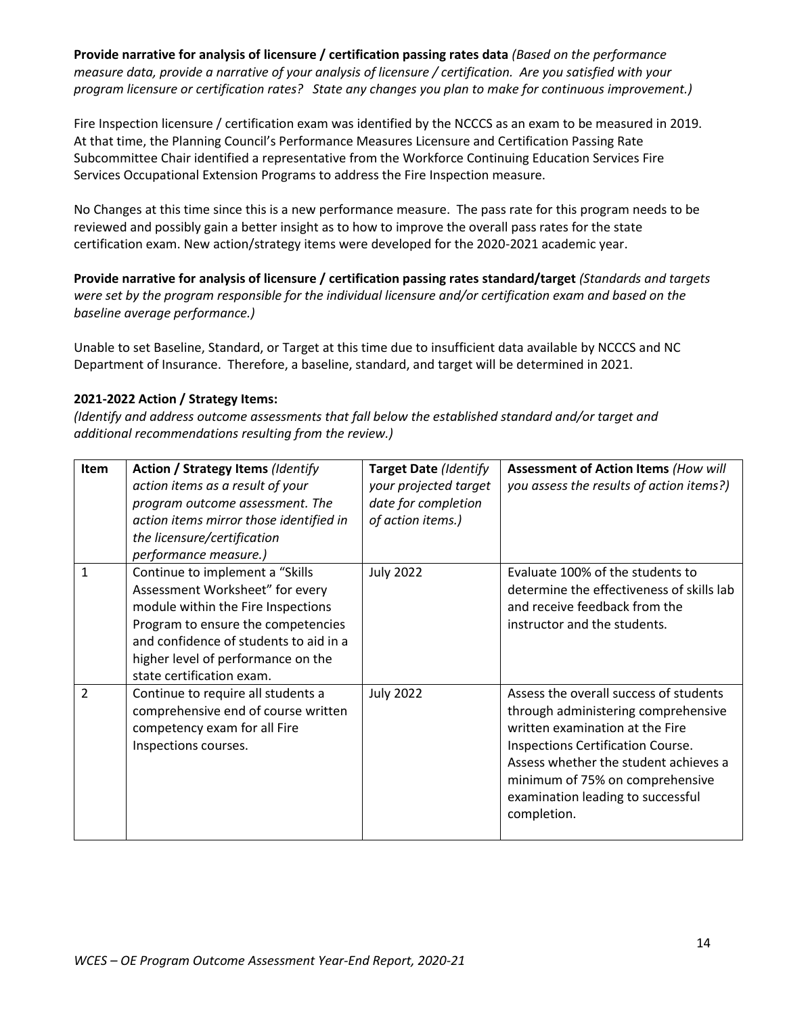**Provide narrative for analysis of licensure / certification passing rates data** *(Based on the performance measure data, provide a narrative of your analysis of licensure / certification. Are you satisfied with your program licensure or certification rates? State any changes you plan to make for continuous improvement.)*

Fire Inspection licensure / certification exam was identified by the NCCCS as an exam to be measured in 2019. At that time, the Planning Council's Performance Measures Licensure and Certification Passing Rate Subcommittee Chair identified a representative from the Workforce Continuing Education Services Fire Services Occupational Extension Programs to address the Fire Inspection measure.

No Changes at this time since this is a new performance measure. The pass rate for this program needs to be reviewed and possibly gain a better insight as to how to improve the overall pass rates for the state certification exam. New action/strategy items were developed for the 2020-2021 academic year.

**Provide narrative for analysis of licensure / certification passing rates standard/target** *(Standards and targets were set by the program responsible for the individual licensure and/or certification exam and based on the baseline average performance.)* 

Unable to set Baseline, Standard, or Target at this time due to insufficient data available by NCCCS and NC Department of Insurance. Therefore, a baseline, standard, and target will be determined in 2021.

# **2021-2022 Action / Strategy Items:**

| Item          | <b>Action / Strategy Items (Identify</b><br>action items as a result of your<br>program outcome assessment. The<br>action items mirror those identified in<br>the licensure/certification<br>performance measure.)                                          | <b>Target Date (Identify</b><br>your projected target<br>date for completion<br>of action items.) | <b>Assessment of Action Items (How will</b><br>you assess the results of action items?)                                                                                                                                                                                               |
|---------------|-------------------------------------------------------------------------------------------------------------------------------------------------------------------------------------------------------------------------------------------------------------|---------------------------------------------------------------------------------------------------|---------------------------------------------------------------------------------------------------------------------------------------------------------------------------------------------------------------------------------------------------------------------------------------|
| 1             | Continue to implement a "Skills<br>Assessment Worksheet" for every<br>module within the Fire Inspections<br>Program to ensure the competencies<br>and confidence of students to aid in a<br>higher level of performance on the<br>state certification exam. | <b>July 2022</b>                                                                                  | Evaluate 100% of the students to<br>determine the effectiveness of skills lab<br>and receive feedback from the<br>instructor and the students.                                                                                                                                        |
| $\mathcal{P}$ | Continue to require all students a<br>comprehensive end of course written<br>competency exam for all Fire<br>Inspections courses.                                                                                                                           | <b>July 2022</b>                                                                                  | Assess the overall success of students<br>through administering comprehensive<br>written examination at the Fire<br>Inspections Certification Course.<br>Assess whether the student achieves a<br>minimum of 75% on comprehensive<br>examination leading to successful<br>completion. |